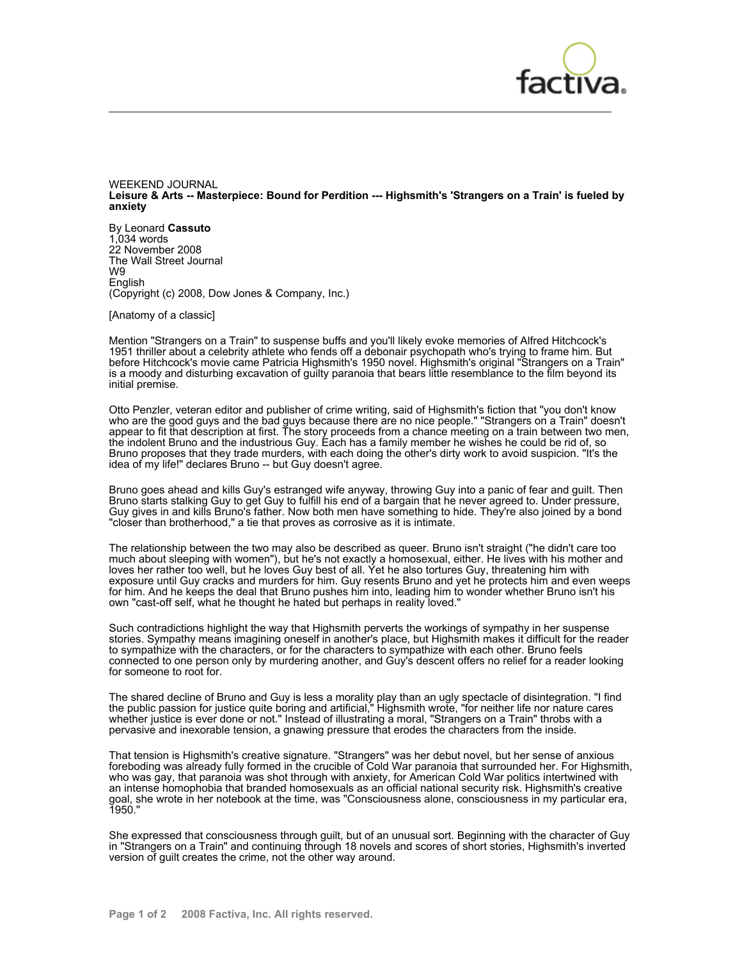

## WEEKEND JOURNAL **Leisure & Arts -- Masterpiece: Bound for Perdition --- Highsmith's 'Strangers on a Train' is fueled by anxiety**

By Leonard **Cassuto** 1,034 words 22 November 2008 The Wall Street Journal W9 **English** (Copyright (c) 2008, Dow Jones & Company, Inc.)

[Anatomy of a classic]

Mention "Strangers on a Train" to suspense buffs and you'll likely evoke memories of Alfred Hitchcock's 1951 thriller about a celebrity athlete who fends off a debonair psychopath who's trying to frame him. But before Hitchcock's movie came Patricia Highsmith's 1950 novel. Highsmith's original "Strangers on a Train" is a moody and disturbing excavation of guilty paranoia that bears little resemblance to the film beyond its initial premise.

Otto Penzler, veteran editor and publisher of crime writing, said of Highsmith's fiction that "you don't know who are the good guys and the bad guys because there are no nice people." "Strangers on a Train" doesn't appear to fit that description at first. The story proceeds from a chance meeting on a train between two men, the indolent Bruno and the industrious Guy. Each has a family member he wishes he could be rid of, so Bruno proposes that they trade murders, with each doing the other's dirty work to avoid suspicion. "It's the idea of my life!" declares Bruno -- but Guy doesn't agree.

Bruno goes ahead and kills Guy's estranged wife anyway, throwing Guy into a panic of fear and guilt. Then Bruno starts stalking Guy to get Guy to fulfill his end of a bargain that he never agreed to. Under pressure, Guy gives in and kills Bruno's father. Now both men have something to hide. They're also joined by a bond "closer than brotherhood," a tie that proves as corrosive as it is intimate.

The relationship between the two may also be described as queer. Bruno isn't straight ("he didn't care too much about sleeping with women"), but he's not exactly a homosexual, either. He lives with his mother and loves her rather too well, but he loves Guy best of all. Yet he also tortures Guy, threatening him with exposure until Guy cracks and murders for him. Guy resents Bruno and yet he protects him and even weeps for him. And he keeps the deal that Bruno pushes him into, leading him to wonder whether Bruno isn't his own "cast-off self, what he thought he hated but perhaps in reality loved."

Such contradictions highlight the way that Highsmith perverts the workings of sympathy in her suspense stories. Sympathy means imagining oneself in another's place, but Highsmith makes it difficult for the reader to sympathize with the characters, or for the characters to sympathize with each other. Bruno feels connected to one person only by murdering another, and Guy's descent offers no relief for a reader looking for someone to root for.

The shared decline of Bruno and Guy is less a morality play than an ugly spectacle of disintegration. "I find the public passion for justice quite boring and artificial," Highsmith wrote, "for neither life nor nature cares whether justice is ever done or not." Instead of illustrating a moral, "Strangers on a Train" throbs with a pervasive and inexorable tension, a gnawing pressure that erodes the characters from the inside.

That tension is Highsmith's creative signature. "Strangers" was her debut novel, but her sense of anxious foreboding was already fully formed in the crucible of Cold War paranoia that surrounded her. For Highsmith, who was gay, that paranoia was shot through with anxiety, for American Cold War politics intertwined with an intense homophobia that branded homosexuals as an official national security risk. Highsmith's creative goal, she wrote in her notebook at the time, was "Consciousness alone, consciousness in my particular era, 1950."

She expressed that consciousness through guilt, but of an unusual sort. Beginning with the character of Guy in "Strangers on a Train" and continuing through 18 novels and scores of short stories, Highsmith's inverted version of guilt creates the crime, not the other way around.